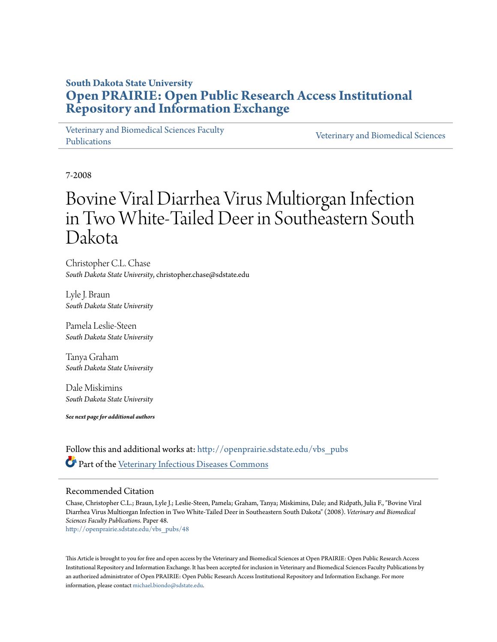## **South Dakota State University [Open PRAIRIE: Open Public Research Access Institutional](http://openprairie.sdstate.edu?utm_source=openprairie.sdstate.edu%2Fvbs_pubs%2F48&utm_medium=PDF&utm_campaign=PDFCoverPages) [Repository and Information Exchange](http://openprairie.sdstate.edu?utm_source=openprairie.sdstate.edu%2Fvbs_pubs%2F48&utm_medium=PDF&utm_campaign=PDFCoverPages)**

[Veterinary and Biomedical Sciences Faculty](http://openprairie.sdstate.edu/vbs_pubs?utm_source=openprairie.sdstate.edu%2Fvbs_pubs%2F48&utm_medium=PDF&utm_campaign=PDFCoverPages) [Publications](http://openprairie.sdstate.edu/vbs_pubs?utm_source=openprairie.sdstate.edu%2Fvbs_pubs%2F48&utm_medium=PDF&utm_campaign=PDFCoverPages)

[Veterinary and Biomedical Sciences](http://openprairie.sdstate.edu/vbs?utm_source=openprairie.sdstate.edu%2Fvbs_pubs%2F48&utm_medium=PDF&utm_campaign=PDFCoverPages)

7-2008

# Bovine Viral Diarrhea Virus Multiorgan Infection in Two White-Tailed Deer in Southeastern South Dakota

Christopher C.L. Chase *South Dakota State University*, christopher.chase@sdstate.edu

Lyle J. Braun *South Dakota State University*

Pamela Leslie-Steen *South Dakota State University*

Tanya Graham *South Dakota State University*

Dale Miskimins *South Dakota State University*

*See next page for additional authors*

Follow this and additional works at: [http://openprairie.sdstate.edu/vbs\\_pubs](http://openprairie.sdstate.edu/vbs_pubs?utm_source=openprairie.sdstate.edu%2Fvbs_pubs%2F48&utm_medium=PDF&utm_campaign=PDFCoverPages) Part of the [Veterinary Infectious Diseases Commons](http://network.bepress.com/hgg/discipline/770?utm_source=openprairie.sdstate.edu%2Fvbs_pubs%2F48&utm_medium=PDF&utm_campaign=PDFCoverPages)

### Recommended Citation

Chase, Christopher C.L.; Braun, Lyle J.; Leslie-Steen, Pamela; Graham, Tanya; Miskimins, Dale; and Ridpath, Julia F., "Bovine Viral Diarrhea Virus Multiorgan Infection in Two White-Tailed Deer in Southeastern South Dakota" (2008). *Veterinary and Biomedical Sciences Faculty Publications.* Paper 48. [http://openprairie.sdstate.edu/vbs\\_pubs/48](http://openprairie.sdstate.edu/vbs_pubs/48?utm_source=openprairie.sdstate.edu%2Fvbs_pubs%2F48&utm_medium=PDF&utm_campaign=PDFCoverPages)

This Article is brought to you for free and open access by the Veterinary and Biomedical Sciences at Open PRAIRIE: Open Public Research Access Institutional Repository and Information Exchange. It has been accepted for inclusion in Veterinary and Biomedical Sciences Faculty Publications by an authorized administrator of Open PRAIRIE: Open Public Research Access Institutional Repository and Information Exchange. For more information, please contact [michael.biondo@sdstate.edu](mailto:michael.biondo@sdstate.edu).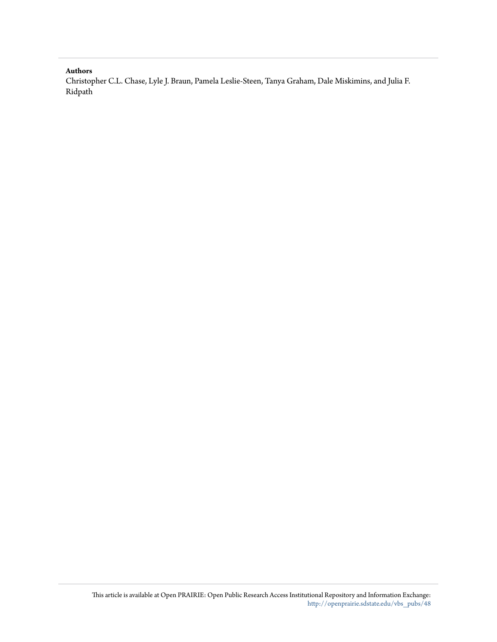#### **Authors**

Christopher C.L. Chase, Lyle J. Braun, Pamela Leslie-Steen, Tanya Graham, Dale Miskimins, and Julia F. Ridpath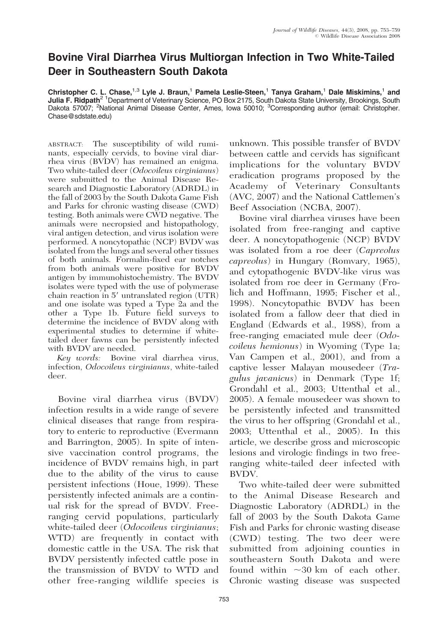## Bovine Viral Diarrhea Virus Multiorgan Infection in Two White-Tailed Deer in Southeastern South Dakota

Christopher C. L. Chase,<sup>1,3</sup> Lyle J. Braun,<sup>1</sup> Pamela Leslie-Steen,<sup>1</sup> Tanya Graham,<sup>1</sup> Dale Miskimins,<sup>1</sup> and Julia F. Ridpath<sup>2 1</sup>Department of Veterinary Science, PO Box 2175, South Dakota State University, Brookings, South Dakota 57007; <sup>2</sup>National Animal Disease Center, Ames, Iowa 50010; <sup>3</sup>Corresponding author (email: Christopher. Chase@sdstate.edu)

ABSTRACT: The susceptibility of wild ruminants, especially cervids, to bovine viral diarrhea virus (BVDV) has remained an enigma. Two white-tailed deer (Odocoileus virginianus) were submitted to the Animal Disease Research and Diagnostic Laboratory (ADRDL) in the fall of 2003 by the South Dakota Game Fish and Parks for chronic wasting disease (CWD) testing. Both animals were CWD negative. The animals were necropsied and histopathology, viral antigen detection, and virus isolation were performed. A noncytopathic (NCP) BVDV was isolated from the lungs and several other tissues of both animals. Formalin-fixed ear notches from both animals were positive for BVDV antigen by immunohistochemistry. The BVDV isolates were typed with the use of polymerase chain reaction in 5' untranslated region (UTR) and one isolate was typed a Type 2a and the other a Type 1b. Future field surveys to determine the incidence of BVDV along with experimental studies to determine if whitetailed deer fawns can be persistently infected with BVDV are needed.

Key words: Bovine viral diarrhea virus, infection, Odocoileus virginianus, white-tailed deer.

Bovine viral diarrhea virus (BVDV) infection results in a wide range of severe clinical diseases that range from respiratory to enteric to reproductive (Evermann and Barrington, 2005). In spite of intensive vaccination control programs, the incidence of BVDV remains high, in part due to the ability of the virus to cause persistent infections (Houe, 1999). These persistently infected animals are a continual risk for the spread of BVDV. Freeranging cervid populations, particularly white-tailed deer (*Odocoileus virginianus*; WTD) are frequently in contact with domestic cattle in the USA. The risk that BVDV persistently infected cattle pose in the transmission of BVDV to WTD and other free-ranging wildlife species is unknown. This possible transfer of BVDV between cattle and cervids has significant implications for the voluntary BVDV eradication programs proposed by the Academy of Veterinary Consultants (AVC, 2007) and the National Cattlemen's Beef Association (NCBA, 2007).

Bovine viral diarrhea viruses have been isolated from free-ranging and captive deer. A noncytopathogenic (NCP) BVDV was isolated from a roe deer (Capreolus capreolus) in Hungary (Romvary, 1965), and cytopathogenic BVDV-like virus was isolated from roe deer in Germany (Frolich and Hoffmann, 1995; Fischer et al., 1998). Noncytopathic BVDV has been isolated from a fallow deer that died in England (Edwards et al., 1988), from a free-ranging emaciated mule deer (Odocoileus hemionus) in Wyoming (Type 1a; Van Campen et al., 2001), and from a captive lesser Malayan mousedeer (Tragulus javanicus) in Denmark (Type 1f; Grondahl et al., 2003; Uttenthal et al., 2005). A female mousedeer was shown to be persistently infected and transmitted the virus to her offspring (Grondahl et al., 2003; Uttenthal et al., 2005). In this article, we describe gross and microscopic lesions and virologic findings in two freeranging white-tailed deer infected with BVDV.

Two white-tailed deer were submitted to the Animal Disease Research and Diagnostic Laboratory (ADRDL) in the fall of 2003 by the South Dakota Game Fish and Parks for chronic wasting disease (CWD) testing. The two deer were submitted from adjoining counties in southeastern South Dakota and were found within  $\sim 30$  km of each other. Chronic wasting disease was suspected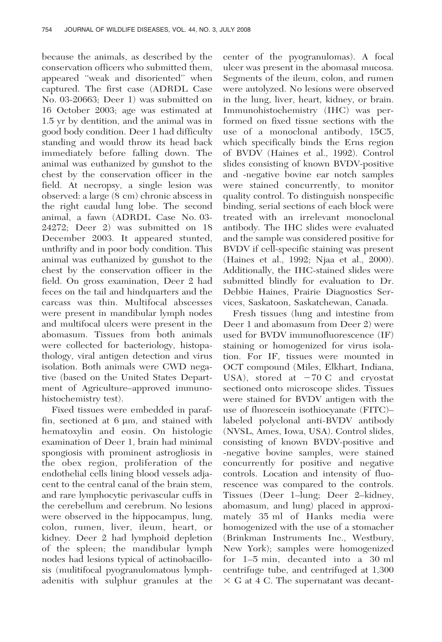because the animals, as described by the conservation officers who submitted them, appeared ''weak and disoriented'' when captured. The first case (ADRDL Case No. 03-20663; Deer 1) was submitted on 16 October 2003; age was estimated at 1.5 yr by dentition, and the animal was in good body condition. Deer 1 had difficulty standing and would throw its head back immediately before falling down. The animal was euthanized by gunshot to the chest by the conservation officer in the field. At necropsy, a single lesion was observed: a large (8 cm) chronic abscess in the right caudal lung lobe. The second animal, a fawn (ADRDL Case No. 03- 24272; Deer 2) was submitted on 18 December 2003. It appeared stunted, unthrifty and in poor body condition. This animal was euthanized by gunshot to the chest by the conservation officer in the field. On gross examination, Deer 2 had feces on the tail and hindquarters and the carcass was thin. Multifocal abscesses were present in mandibular lymph nodes and multifocal ulcers were present in the abomasum. Tissues from both animals were collected for bacteriology, histopathology, viral antigen detection and virus isolation. Both animals were CWD negative (based on the United States Department of Agriculture–approved immunohistochemistry test).

Fixed tissues were embedded in paraffin, sectioned at  $6 \mu m$ , and stained with hematoxylin and eosin. On histologic examination of Deer 1, brain had minimal spongiosis with prominent astrogliosis in the obex region, proliferation of the endothelial cells lining blood vessels adjacent to the central canal of the brain stem, and rare lymphocytic perivascular cuffs in the cerebellum and cerebrum. No lesions were observed in the hippocampus, lung, colon, rumen, liver, ileum, heart, or kidney. Deer 2 had lymphoid depletion of the spleen; the mandibular lymph nodes had lesions typical of actinobacillosis (mulitifocal pyogranulomatous lymphadenitis with sulphur granules at the center of the pyogranulomas). A focal ulcer was present in the abomasal mucosa. Segments of the ileum, colon, and rumen were autolyzed. No lesions were observed in the lung, liver, heart, kidney, or brain. Immunohistochemistry (IHC) was performed on fixed tissue sections with the use of a monoclonal antibody, 15C5, which specifically binds the Erns region of BVDV (Haines et al., 1992). Control slides consisting of known BVDV-positive and -negative bovine ear notch samples were stained concurrently, to monitor quality control. To distinguish nonspecific binding, serial sections of each block were treated with an irrelevant monoclonal antibody. The IHC slides were evaluated and the sample was considered positive for BVDV if cell-specific staining was present (Haines et al., 1992; Njaa et al., 2000). Additionally, the IHC-stained slides were submitted blindly for evaluation to Dr. Debbie Haines, Prairie Diagnostics Services, Saskatoon, Saskatchewan, Canada.

Fresh tissues (lung and intestine from Deer 1 and abomasum from Deer 2) were used for BVDV immunofluorescence (IF) staining or homogenized for virus isolation. For IF, tissues were mounted in OCT compound (Miles, Elkhart, Indiana, USA), stored at  $-70$  C and cryostat sectioned onto microscope slides. Tissues were stained for BVDV antigen with the use of fluorescein isothiocyanate (FITC)– labeled polyclonal anti-BVDV antibody (NVSL, Ames, Iowa, USA). Control slides, consisting of known BVDV-positive and -negative bovine samples, were stained concurrently for positive and negative controls. Location and intensity of fluorescence was compared to the controls. Tissues (Deer 1–lung; Deer 2–kidney, abomasum, and lung) placed in approximately 35 ml of Hanks media were homogenized with the use of a stomacher (Brinkman Instruments Inc., Westbury, New York); samples were homogenized for 1–5 min, decanted into a 30 ml centrifuge tube, and centrifuged at 1,300  $\times$  G at 4 C. The supernatant was decant-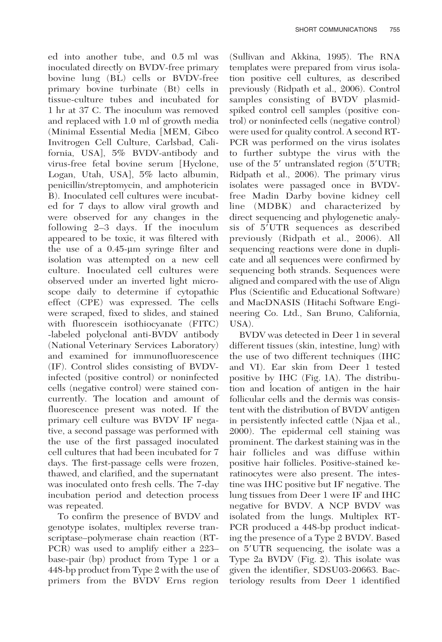ed into another tube, and 0.5 ml was inoculated directly on BVDV-free primary bovine lung (BL) cells or BVDV-free primary bovine turbinate (Bt) cells in tissue-culture tubes and incubated for 1 hr at 37 C. The inoculum was removed and replaced with 1.0 ml of growth media (Minimal Essential Media [MEM, Gibco Invitrogen Cell Culture, Carlsbad, California, USA], 5% BVDV-antibody and virus-free fetal bovine serum [Hyclone, Logan, Utah, USA], 5% lacto albumin, penicillin/streptomycin, and amphotericin B). Inoculated cell cultures were incubated for 7 days to allow viral growth and were observed for any changes in the following 2–3 days. If the inoculum appeared to be toxic, it was filtered with the use of a  $0.45$ -µm syringe filter and isolation was attempted on a new cell culture. Inoculated cell cultures were observed under an inverted light microscope daily to determine if cytopathic effect (CPE) was expressed. The cells were scraped, fixed to slides, and stained with fluorescein isothiocyanate (FITC) -labeled polyclonal anti-BVDV antibody (National Veterinary Services Laboratory) and examined for immunofluorescence (IF). Control slides consisting of BVDVinfected (positive control) or noninfected cells (negative control) were stained concurrently. The location and amount of fluorescence present was noted. If the primary cell culture was BVDV IF negative, a second passage was performed with the use of the first passaged inoculated cell cultures that had been incubated for 7 days. The first-passage cells were frozen, thawed, and clarified, and the supernatant was inoculated onto fresh cells. The 7-day incubation period and detection process was repeated.

To confirm the presence of BVDV and genotype isolates, multiplex reverse transcriptase–polymerase chain reaction (RT-PCR) was used to amplify either a 223– base-pair (bp) product from Type 1 or a 448-bp product from Type 2 with the use of primers from the BVDV Erns region (Sullivan and Akkina, 1995). The RNA templates were prepared from virus isolation positive cell cultures, as described previously (Ridpath et al., 2006). Control samples consisting of BVDV plasmidspiked control cell samples (positive control) or noninfected cells (negative control) were used for quality control. A second RT-PCR was performed on the virus isolates to further subtype the virus with the use of the  $5'$  untranslated region  $(5'UTR;$ Ridpath et al., 2006). The primary virus isolates were passaged once in BVDVfree Madin Darby bovine kidney cell line (MDBK) and characterized by direct sequencing and phylogenetic analysis of 5'UTR sequences as described previously (Ridpath et al., 2006). All sequencing reactions were done in duplicate and all sequences were confirmed by sequencing both strands. Sequences were aligned and compared with the use of Align Plus (Scientific and Educational Software) and MacDNASIS (Hitachi Software Engineering Co. Ltd., San Bruno, California, USA).

BVDV was detected in Deer 1 in several different tissues (skin, intestine, lung) with the use of two different techniques (IHC and VI). Ear skin from Deer 1 tested positive by IHC (Fig. 1A). The distribution and location of antigen in the hair follicular cells and the dermis was consistent with the distribution of BVDV antigen in persistently infected cattle (Njaa et al., 2000). The epidermal cell staining was prominent. The darkest staining was in the hair follicles and was diffuse within positive hair follicles. Positive-stained keratinocytes were also present. The intestine was IHC positive but IF negative. The lung tissues from Deer 1 were IF and IHC negative for BVDV. A NCP BVDV was isolated from the lungs. Multiplex RT-PCR produced a 448-bp product indicating the presence of a Type 2 BVDV. Based on 5'UTR sequencing, the isolate was a Type 2a BVDV (Fig. 2). This isolate was given the identifier, SDSU03-20663. Bacteriology results from Deer 1 identified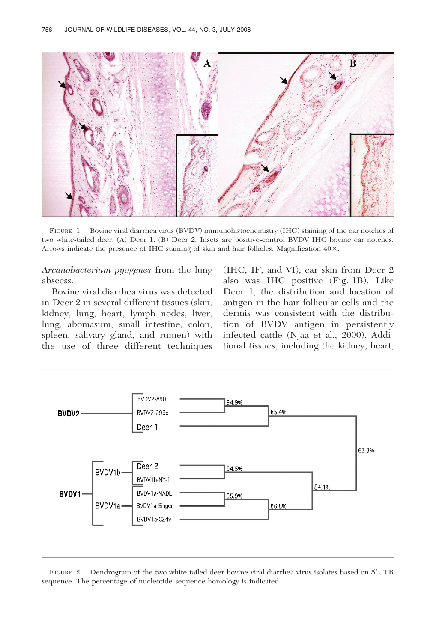

FIGURE 1. Bovine viral diarrhea virus (BVDV) immunohistochemistry (IHC) staining of the ear notches of two white-tailed deer. (A) Deer 1. (B) Deer 2. Insets are positive-control BVDV IHC bovine ear notches. Arrows indicate the presence of IHC staining of skin and hair follicles. Magnification  $40\times$ .

Arcanobacterium pyogenes from the lung abscess.

Bovine viral diarrhea virus was detected in Deer 2 in several different tissues (skin, kidney, lung, heart, lymph nodes, liver, lung, abomasum, small intestine, colon, spleen, salivary gland, and rumen) with the use of three different techniques (IHC, IF, and VI); ear skin from Deer 2 also was IHC positive (Fig. 1B). Like Deer 1, the distribution and location of antigen in the hair follicular cells and the dermis was consistent with the distribution of BVDV antigen in persistently infected cattle (Njaa et al., 2000). Additional tissues, including the kidney, heart,



FIGURE 2. Dendrogram of the two white-tailed deer bovine viral diarrhea virus isolates based on 5'UTR sequence. The percentage of nucleotide sequence homology is indicated.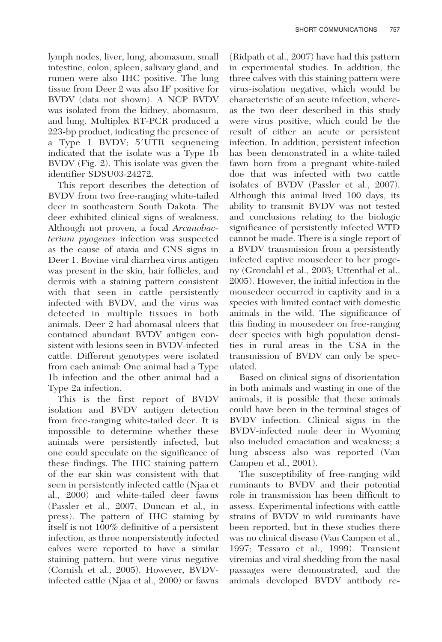lymph nodes, liver, lung, abomasum, small intestine, colon, spleen, salivary gland, and rumen were also IHC positive. The lung tissue from Deer 2 was also IF positive for BVDV (data not shown). A NCP BVDV was isolated from the kidney, abomasum, and lung. Multiplex RT-PCR produced a 223-bp product, indicating the presence of a Type 1 BVDV; 5'UTR sequencing indicated that the isolate was a Type 1b BVDV (Fig. 2). This isolate was given the identifier SDSU03-24272.

This report describes the detection of BVDV from two free-ranging white-tailed deer in southeastern South Dakota. The deer exhibited clinical signs of weakness. Although not proven, a focal Arcanobacterium pyogenes infection was suspected as the cause of ataxia and CNS signs in Deer 1. Bovine viral diarrhea virus antigen was present in the skin, hair follicles, and dermis with a staining pattern consistent with that seen in cattle persistently infected with BVDV, and the virus was detected in multiple tissues in both animals. Deer 2 had abomasal ulcers that contained abundant BVDV antigen consistent with lesions seen in BVDV-infected cattle. Different genotypes were isolated from each animal: One animal had a Type 1b infection and the other animal had a Type 2a infection.

This is the first report of BVDV isolation and BVDV antigen detection from free-ranging white-tailed deer. It is impossible to determine whether these animals were persistently infected, but one could speculate on the significance of these findings. The IHC staining pattern of the ear skin was consistent with that seen in persistently infected cattle (Njaa et al., 2000) and white-tailed deer fawns (Passler et al., 2007; Duncan et al., in press). The pattern of IHC staining by itself is not 100% definitive of a persistent infection, as three nonpersistently infected calves were reported to have a similar staining pattern, but were virus negative (Cornish et al., 2005). However, BVDVinfected cattle (Njaa et al., 2000) or fawns

(Ridpath et al., 2007) have had this pattern in experimental studies. In addition, the three calves with this staining pattern were virus-isolation negative, which would be characteristic of an acute infection, whereas the two deer described in this study were virus positive, which could be the result of either an acute or persistent infection. In addition, persistent infection has been demonstrated in a white-tailed fawn born from a pregnant white-tailed doe that was infected with two cattle isolates of BVDV (Passler et al., 2007). Although this animal lived 100 days, its ability to transmit BVDV was not tested and conclusions relating to the biologic significance of persistently infected WTD cannot be made. There is a single report of a BVDV transmission from a persistently infected captive mousedeer to her progeny (Grondahl et al., 2003; Uttenthal et al., 2005). However, the initial infection in the mousedeer occurred in captivity and in a species with limited contact with domestic animals in the wild. The significance of this finding in mousedeer on free-ranging deer species with high population densities in rural areas in the USA in the transmission of BVDV can only be speculated.

Based on clinical signs of disorientation in both animals and wasting in one of the animals, it is possible that these animals could have been in the terminal stages of BVDV infection. Clinical signs in the BVDV-infected mule deer in Wyoming also included emaciation and weakness; a lung abscess also was reported (Van Campen et al., 2001).

The susceptibility of free-ranging wild ruminants to BVDV and their potential role in transmission has been difficult to assess. Experimental infections with cattle strains of BVDV in wild ruminants have been reported, but in these studies there was no clinical disease (Van Campen et al., 1997; Tessaro et al., 1999). Transient viremias and viral shedding from the nasal passages were demonstrated, and the animals developed BVDV antibody re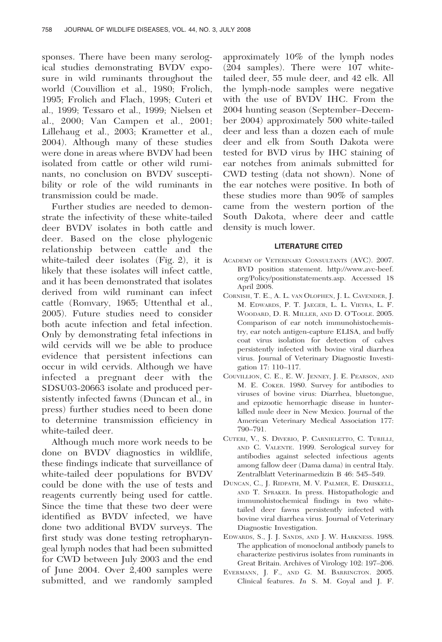sponses. There have been many serological studies demonstrating BVDV exposure in wild ruminants throughout the world (Couvillion et al., 1980; Frolich, 1995; Frolich and Flach, 1998; Cuteri et al., 1999; Tessaro et al., 1999; Nielsen et al., 2000; Van Campen et al., 2001; Lillehaug et al., 2003; Krametter et al., 2004). Although many of these studies were done in areas where BVDV had been isolated from cattle or other wild ruminants, no conclusion on BVDV susceptibility or role of the wild ruminants in transmission could be made.

Further studies are needed to demonstrate the infectivity of these white-tailed deer BVDV isolates in both cattle and deer. Based on the close phylogenic relationship between cattle and the white-tailed deer isolates (Fig. 2), it is likely that these isolates will infect cattle, and it has been demonstrated that isolates derived from wild ruminant can infect cattle (Romvary, 1965; Uttenthal et al., 2005). Future studies need to consider both acute infection and fetal infection. Only by demonstrating fetal infections in wild cervids will we be able to produce evidence that persistent infections can occur in wild cervids. Although we have infected a pregnant deer with the SDSU03-20663 isolate and produced persistently infected fawns (Duncan et al., in press) further studies need to been done to determine transmission efficiency in white-tailed deer.

Although much more work needs to be done on BVDV diagnostics in wildlife, these findings indicate that surveillance of white-tailed deer populations for BVDV could be done with the use of tests and reagents currently being used for cattle. Since the time that these two deer were identified as BVDV infected, we have done two additional BVDV surveys. The first study was done testing retropharyngeal lymph nodes that had been submitted for CWD between July 2003 and the end of June 2004. Over 2,400 samples were submitted, and we randomly sampled approximately 10% of the lymph nodes (204 samples). There were 107 whitetailed deer, 55 mule deer, and 42 elk. All the lymph-node samples were negative with the use of BVDV IHC. From the 2004 hunting season (September–December 2004) approximately 500 white-tailed deer and less than a dozen each of mule deer and elk from South Dakota were tested for BVD virus by IHC staining of ear notches from animals submitted for CWD testing (data not shown). None of the ear notches were positive. In both of these studies more than 90% of samples came from the western portion of the South Dakota, where deer and cattle density is much lower.

#### LITERATURE CITED

- ACADEMY OF VETERINARY CONSULTANTS (AVC). 2007. BVD position statement. http://www.avc-beef. org/Policy/positionstatements.asp. Accessed 18 April 2008.
- CORNISH, T. E., A. L. VAN OLOPHEN, J. L. CAVENDER, J. M. EDWARDS, P. T. JAEGER, L. L. VIEYRA, L. F. WOODARD, D. R. MILLER, AND D. O'TOOLE. 2005. Comparison of ear notch immunohistochemistry, ear notch antigen-capture ELISA, and buffy coat virus isolation for detection of calves persistently infected with bovine viral diarrhea virus. Journal of Veterinary Diagnostic Investigation 17: 110–117.
- COUVILLION, C. E., E. W. JENNEY, J. E. PEARSON, AND M. E. COKER. 1980. Survey for antibodies to viruses of bovine virus: Diarrhea, bluetongue, and epizootic hemorrhagic disease in hunterkilled mule deer in New Mexico. Journal of the American Veterinary Medical Association 177: 790–791.
- CUTERI, V., S. DIVERIO, P. CARNIELETTO, C. TURILLI, AND C. VALENTE. 1999. Serological survey for antibodies against selected infectious agents among fallow deer (Dama dama) in central Italy. Zentralblatt Veterinarmedizin B 46: 545–549.
- DUNCAN, C., J. RIDPATH, M. V. PALMER, E. DRISKELL, AND T. SPRAKER. In press. Histopathologic and immunohistochemical findings in two whitetailed deer fawns persistently infected with bovine viral diarrhea virus. Journal of Veterinary Diagnostic Investigation.
- EDWARDS, S., J. J. SANDS, AND J. W. HARKNESS. 1988. The application of monoclonal antibody panels to characterize pestivirus isolates from ruminants in Great Britain. Archives of Virology 102: 197–206.
- EVERMANN, J. F., AND G. M. BARRINGTON. 2005. Clinical features. In S. M. Goyal and J. F.